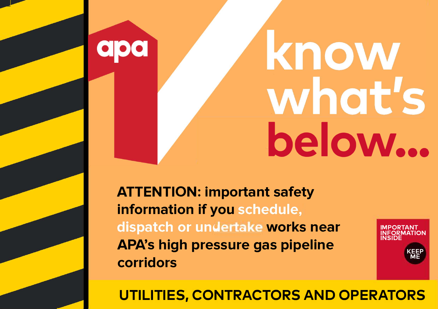# know what's **below...**

**ATTENTION: important safety information if you dispatch or undertake works near APA's high pressure gas pipeline corridors** 

**p** 

**IMPORTANT INFORMATION INSIDE KEEP ME** 

**UTILITIES, CONTRACTORS AND OPERATORS**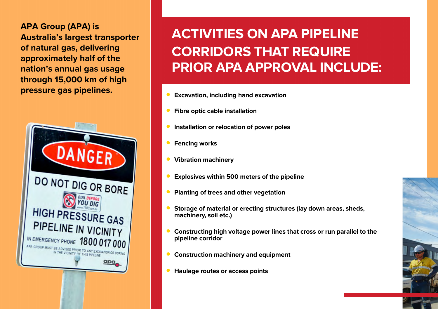**APA Group (APA) is Australia's largest transporter of natural gas, delivering approximately half of the nation's annual gas usage through 15,000 km of high** 



# **ACTIVITIES ON APA PIPELINE CORRIDORS THAT REQUIRE PRIOR APA APPROVAL INCLUDE:**

- **• Excavation, including hand excavation**
- **• Fibre optic cable installation**
- **• Installation or relocation of power poles**
- **• Fencing works**
- **• Vibration machinery**
- **• Explosives within 500 meters of the pipeline**
- **• Planting of trees and other vegetation**
- **• Storage of material or erecting structures (lay down areas, sheds, machinery, soil etc.)**
- **• Constructing high voltage power lines that cross or run parallel to the pipeline corridor**
- **• Construction machinery and equipment**
- **• Haulage routes or access points**

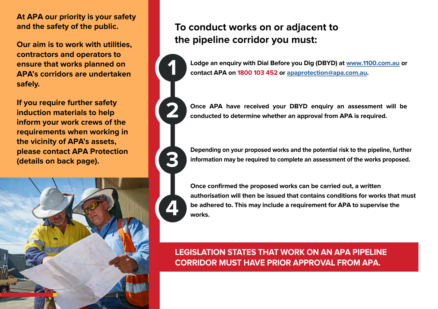**At APA our priority is your safety and the safety of the public.**

**Our aim is to work with utilities, contractors and operators to ensure that works planned on APA's corridors are undertaken safely.** 

**If you require further safety induction materials to help inform your work crews of the requirements when working in the vicinity of APA's assets, please contact APA Protection (details on back page).**



#### **To conduct works on or adjacent to the pipeline corridor you must:**





**Once APA have received your DBYD enquiry an assessment will be conducted to determine whether an approval from APA is required.**



**Depending on your proposed works and the potential risk to the pipeline, further information may be required to complete an assessment of the works proposed.**



**Once confirmed the proposed works can be carried out, a written authorisation will then be issued that contains conditions for works that must be adhered to. This may include a requirement for APA to supervise the works.**

**LEGISLATION STATES THAT WORK ON AN APA PIPELINE CORRIDOR MUST HAVE PRIOR APPROVAL FROM APA.**